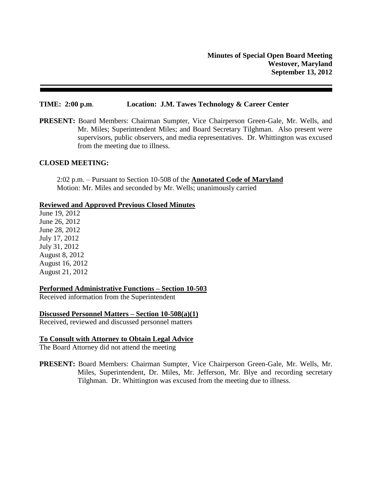#### **TIME: 2:00 p.m**. **Location: J.M. Tawes Technology & Career Center**

**PRESENT:** Board Members: Chairman Sumpter, Vice Chairperson Green-Gale, Mr. Wells, and Mr. Miles; Superintendent Miles; and Board Secretary Tilghman. Also present were supervisors, public observers, and media representatives. Dr. Whittington was excused from the meeting due to illness.

#### **CLOSED MEETING:**

2:02 p.m. – Pursuant to Section 10-508 of the **Annotated Code of Maryland** Motion: Mr. Miles and seconded by Mr. Wells; unanimously carried

#### **Reviewed and Approved Previous Closed Minutes**

June 19, 2012 June 26, 2012 June 28, 2012 July 17, 2012 July 31, 2012 August 8, 2012 August 16, 2012 August 21, 2012

# **Performed Administrative Functions – Section 10-503**

Received information from the Superintendent

### **Discussed Personnel Matters – Section 10-508(a)(1)**

Received, reviewed and discussed personnel matters

# **To Consult with Attorney to Obtain Legal Advice**

The Board Attorney did not attend the meeting

**PRESENT:** Board Members: Chairman Sumpter, Vice Chairperson Green-Gale, Mr. Wells, Mr. Miles, Superintendent, Dr. Miles, Mr. Jefferson, Mr. Blye and recording secretary Tilghman. Dr. Whittington was excused from the meeting due to illness.